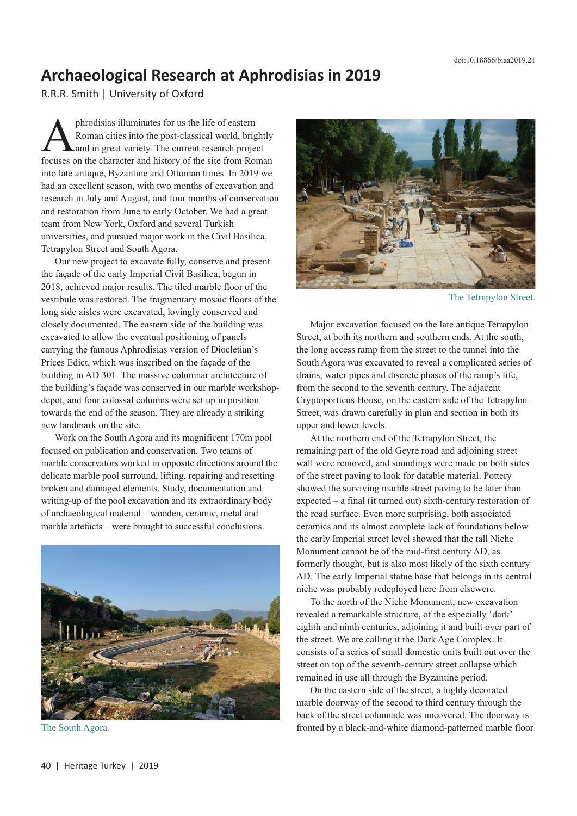## **Archaeological Research at Aphrodisias in 2019**

R.R.R. Smith | University of Oxford

phrodisias illuminates for us the life of eastern<br>Roman cities into the post-classical world, brig<br>and in great variety. The current research proje<br>focuses on the character and history of the site from Ro Roman cities into the post-classical world, brightly and in great variety. The current research project focuses on the character and history of the site from Roman into late antique, Byzantine and Ottoman times. In 2019 we had an excellent season, with two months of excavation and research in July and August, and four months of conservation and restoration from June to early October. We had a great team from New York, Oxford and several Turkish universities, and pursued major work in the Civil Basilica, Tetrapylon Street and South Agora.

Our new project to excavate fully, conserve and present the façade of the early Imperial Civil Basilica, begun in 2018, achieved major results. The tiled marble floor of the vestibule was restored. The fragmentary mosaic floors of the long side aisles were excavated, lovingly conserved and closely documented. The eastern side of the building was excavated to allow the eventual positioning of panels carrying the famous Aphrodisias version of Diocletian's Prices Edict, which was inscribed on the façade of the building in AD 301. The massive columnar architecture of the building's façade was conserved in our marble workshopdepot, and four colossal columns were set up in position towards the end of the season. They are already a striking new landmark on the site.

Work on the South Agora and its magnificent 170m pool focused on publication and conservation. Two teams of marble conservators worked in opposite directions around the delicate marble pool surround, lifting, repairing and resetting broken and damaged elements. Study, documentation and writing-up of the pool excavation and its extraordinary body of archaeological material – wooden, ceramic, metal and marble artefacts – were brought to successful conclusions.



The South Agora.



The Tetrapylon Street.

Major excavation focused on the late antique Tetrapylon Street, at both its northern and southern ends. At the south, the long access ramp from the street to the tunnel into the South Agora was excavated to reveal a complicated series of drains, water pipes and discrete phases of the ramp's life, from the second to the seventh century. The adjacent Cryptoporticus House, on the eastern side of the Tetrapylon Street, was drawn carefully in plan and section in both its upper and lower levels.

At the northern end of the Tetrapylon Street, the remaining part of the old Geyre road and adjoining street wall were removed, and soundings were made on both sides of the street paving to look for datable material. Pottery showed the surviving marble street paving to be later than expected – a final (it turned out) sixth-century restoration of the road surface. Even more surprising, both associated ceramics and its almost complete lack of foundations below the early Imperial street level showed that the tall Niche Monument cannot be of the mid-first century AD, as formerly thought, but is also most likely of the sixth century AD. The early Imperial statue base that belongs in its central niche was probably redeployed here from elsewere.

To the north of the Niche Monument, new excavation revealed a remarkable structure, of the especially 'dark' eighth and ninth centuries, adjoining it and built over part of the street. We are calling it the Dark Age Complex. It consists of a series of small domestic units built out over the street on top of the seventh-century street collapse which remained in use all through the Byzantine period.

On the eastern side of the street, a highly decorated marble doorway of the second to third century through the back of the street colonnade was uncovered. The doorway is fronted by a black-and-white diamond-patterned marble floor